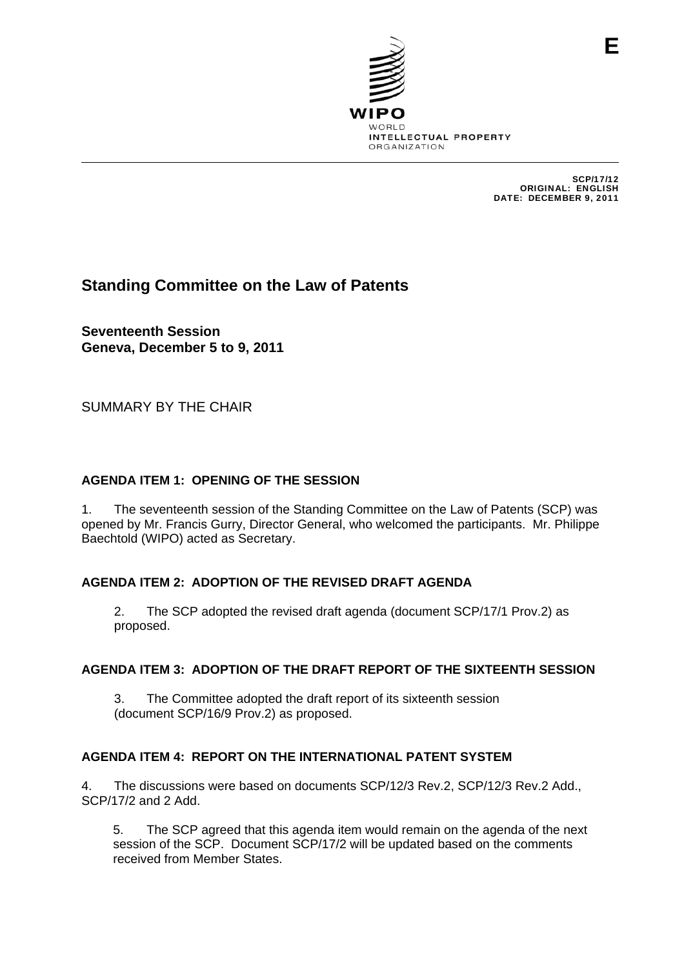

SCP/17/12 ORIGINAL: ENGLISH DATE: DECEMBER 9, 2011

# **Standing Committee on the Law of Patents**

**Seventeenth Session Geneva, December 5 to 9, 2011** 

SUMMARY BY THE CHAIR

### **AGENDA ITEM 1: OPENING OF THE SESSION**

1. The seventeenth session of the Standing Committee on the Law of Patents (SCP) was opened by Mr. Francis Gurry, Director General, who welcomed the participants. Mr. Philippe Baechtold (WIPO) acted as Secretary.

#### **AGENDA ITEM 2: ADOPTION OF THE REVISED DRAFT AGENDA**

2. The SCP adopted the revised draft agenda (document SCP/17/1 Prov.2) as proposed.

#### **AGENDA ITEM 3: ADOPTION OF THE DRAFT REPORT OF THE SIXTEENTH SESSION**

3. The Committee adopted the draft report of its sixteenth session (document SCP/16/9 Prov.2) as proposed.

#### **AGENDA ITEM 4: REPORT ON THE INTERNATIONAL PATENT SYSTEM**

4. The discussions were based on documents SCP/12/3 Rev.2, SCP/12/3 Rev.2 Add., SCP/17/2 and 2 Add.

5. The SCP agreed that this agenda item would remain on the agenda of the next session of the SCP. Document SCP/17/2 will be updated based on the comments received from Member States.

**E**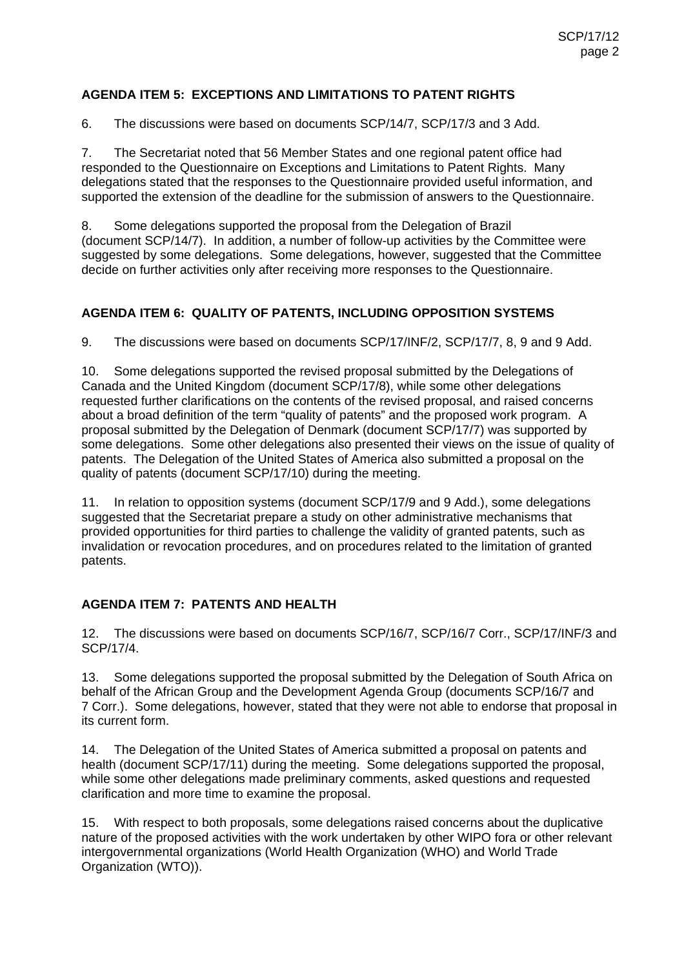### **AGENDA ITEM 5: EXCEPTIONS AND LIMITATIONS TO PATENT RIGHTS**

6. The discussions were based on documents SCP/14/7, SCP/17/3 and 3 Add.

7. The Secretariat noted that 56 Member States and one regional patent office had responded to the Questionnaire on Exceptions and Limitations to Patent Rights. Many delegations stated that the responses to the Questionnaire provided useful information, and supported the extension of the deadline for the submission of answers to the Questionnaire.

8. Some delegations supported the proposal from the Delegation of Brazil (document SCP/14/7). In addition, a number of follow-up activities by the Committee were suggested by some delegations. Some delegations, however, suggested that the Committee decide on further activities only after receiving more responses to the Questionnaire.

### **AGENDA ITEM 6: QUALITY OF PATENTS, INCLUDING OPPOSITION SYSTEMS**

9. The discussions were based on documents SCP/17/INF/2, SCP/17/7, 8, 9 and 9 Add.

10. Some delegations supported the revised proposal submitted by the Delegations of Canada and the United Kingdom (document SCP/17/8), while some other delegations requested further clarifications on the contents of the revised proposal, and raised concerns about a broad definition of the term "quality of patents" and the proposed work program. A proposal submitted by the Delegation of Denmark (document SCP/17/7) was supported by some delegations. Some other delegations also presented their views on the issue of quality of patents. The Delegation of the United States of America also submitted a proposal on the quality of patents (document SCP/17/10) during the meeting.

11. In relation to opposition systems (document SCP/17/9 and 9 Add.), some delegations suggested that the Secretariat prepare a study on other administrative mechanisms that provided opportunities for third parties to challenge the validity of granted patents, such as invalidation or revocation procedures, and on procedures related to the limitation of granted patents.

### **AGENDA ITEM 7: PATENTS AND HEALTH**

12. The discussions were based on documents SCP/16/7, SCP/16/7 Corr., SCP/17/INF/3 and SCP/17/4.

13. Some delegations supported the proposal submitted by the Delegation of South Africa on behalf of the African Group and the Development Agenda Group (documents SCP/16/7 and 7 Corr.). Some delegations, however, stated that they were not able to endorse that proposal in its current form.

14. The Delegation of the United States of America submitted a proposal on patents and health (document SCP/17/11) during the meeting. Some delegations supported the proposal, while some other delegations made preliminary comments, asked questions and requested clarification and more time to examine the proposal.

15. With respect to both proposals, some delegations raised concerns about the duplicative nature of the proposed activities with the work undertaken by other WIPO fora or other relevant intergovernmental organizations (World Health Organization (WHO) and World Trade Organization (WTO)).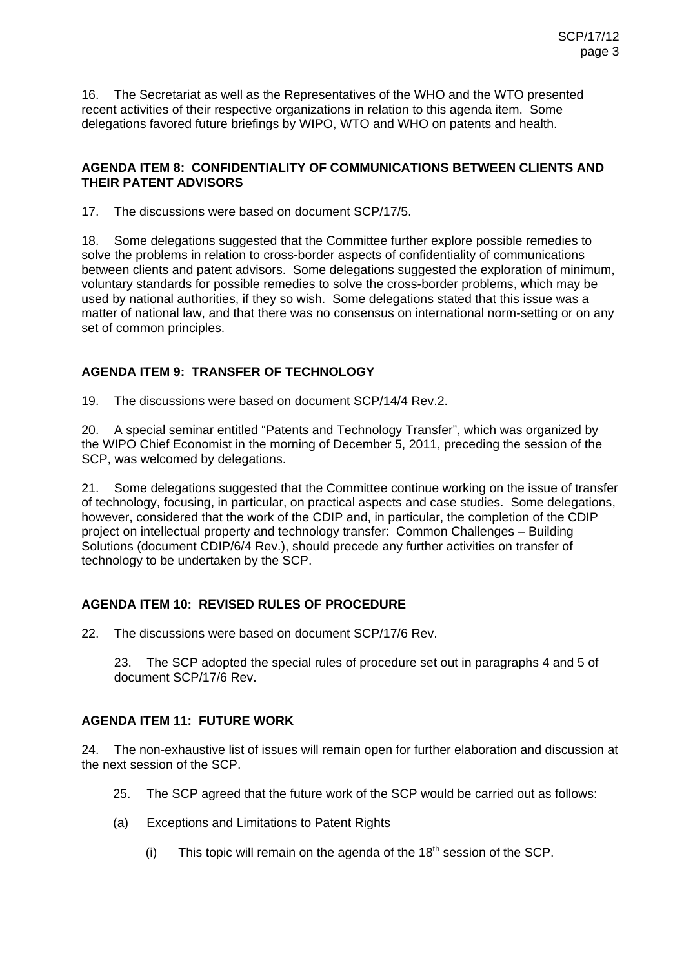16. The Secretariat as well as the Representatives of the WHO and the WTO presented recent activities of their respective organizations in relation to this agenda item. Some delegations favored future briefings by WIPO, WTO and WHO on patents and health.

### **AGENDA ITEM 8: CONFIDENTIALITY OF COMMUNICATIONS BETWEEN CLIENTS AND THEIR PATENT ADVISORS**

17. The discussions were based on document SCP/17/5.

18. Some delegations suggested that the Committee further explore possible remedies to solve the problems in relation to cross-border aspects of confidentiality of communications between clients and patent advisors. Some delegations suggested the exploration of minimum, voluntary standards for possible remedies to solve the cross-border problems, which may be used by national authorities, if they so wish. Some delegations stated that this issue was a matter of national law, and that there was no consensus on international norm-setting or on any set of common principles.

## **AGENDA ITEM 9: TRANSFER OF TECHNOLOGY**

19. The discussions were based on document SCP/14/4 Rev.2.

20. A special seminar entitled "Patents and Technology Transfer", which was organized by the WIPO Chief Economist in the morning of December 5, 2011, preceding the session of the SCP, was welcomed by delegations.

21. Some delegations suggested that the Committee continue working on the issue of transfer of technology, focusing, in particular, on practical aspects and case studies. Some delegations, however, considered that the work of the CDIP and, in particular, the completion of the CDIP project on intellectual property and technology transfer: Common Challenges – Building Solutions (document CDIP/6/4 Rev.), should precede any further activities on transfer of technology to be undertaken by the SCP.

### **AGENDA ITEM 10: REVISED RULES OF PROCEDURE**

22. The discussions were based on document SCP/17/6 Rev.

23. The SCP adopted the special rules of procedure set out in paragraphs 4 and 5 of document SCP/17/6 Rev.

### **AGENDA ITEM 11: FUTURE WORK**

24. The non-exhaustive list of issues will remain open for further elaboration and discussion at the next session of the SCP.

- 25. The SCP agreed that the future work of the SCP would be carried out as follows:
- (a) Exceptions and Limitations to Patent Rights
	- (i) This topic will remain on the agenda of the  $18<sup>th</sup>$  session of the SCP.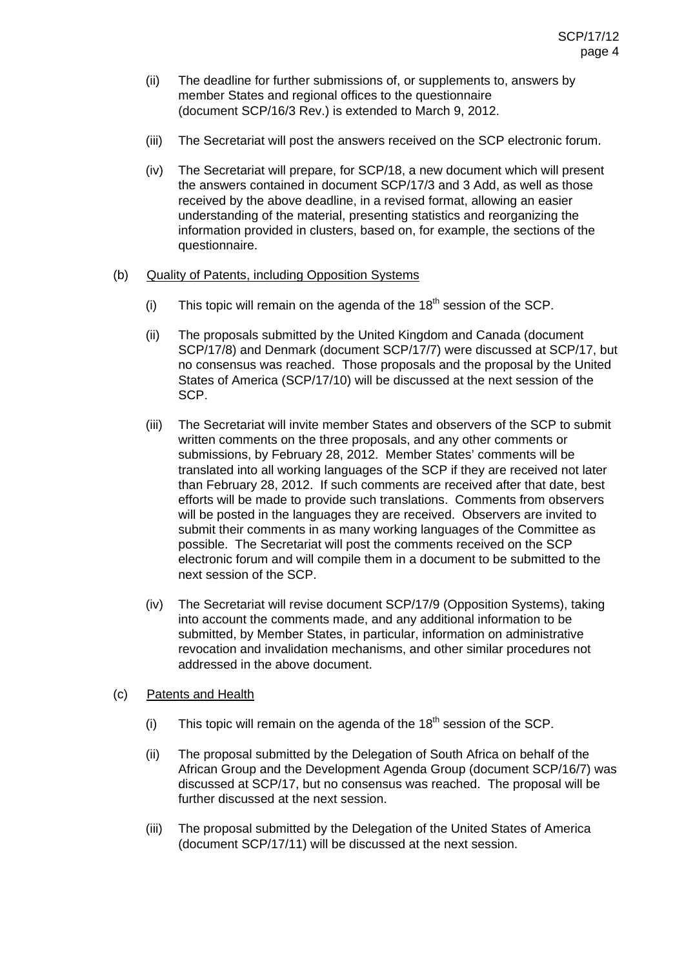- (ii) The deadline for further submissions of, or supplements to, answers by member States and regional offices to the questionnaire (document SCP/16/3 Rev.) is extended to March 9, 2012.
- (iii) The Secretariat will post the answers received on the SCP electronic forum.
- (iv) The Secretariat will prepare, for SCP/18, a new document which will present the answers contained in document SCP/17/3 and 3 Add, as well as those received by the above deadline, in a revised format, allowing an easier understanding of the material, presenting statistics and reorganizing the information provided in clusters, based on, for example, the sections of the questionnaire.

#### (b) Quality of Patents, including Opposition Systems

- (i) This topic will remain on the agenda of the  $18<sup>th</sup>$  session of the SCP.
- (ii) The proposals submitted by the United Kingdom and Canada (document SCP/17/8) and Denmark (document SCP/17/7) were discussed at SCP/17, but no consensus was reached. Those proposals and the proposal by the United States of America (SCP/17/10) will be discussed at the next session of the SCP.
- (iii) The Secretariat will invite member States and observers of the SCP to submit written comments on the three proposals, and any other comments or submissions, by February 28, 2012. Member States' comments will be translated into all working languages of the SCP if they are received not later than February 28, 2012. If such comments are received after that date, best efforts will be made to provide such translations. Comments from observers will be posted in the languages they are received. Observers are invited to submit their comments in as many working languages of the Committee as possible. The Secretariat will post the comments received on the SCP electronic forum and will compile them in a document to be submitted to the next session of the SCP.
- (iv) The Secretariat will revise document SCP/17/9 (Opposition Systems), taking into account the comments made, and any additional information to be submitted, by Member States, in particular, information on administrative revocation and invalidation mechanisms, and other similar procedures not addressed in the above document.
- (c) Patents and Health
	- (i) This topic will remain on the agenda of the  $18<sup>th</sup>$  session of the SCP.
	- (ii) The proposal submitted by the Delegation of South Africa on behalf of the African Group and the Development Agenda Group (document SCP/16/7) was discussed at SCP/17, but no consensus was reached. The proposal will be further discussed at the next session.
	- (iii) The proposal submitted by the Delegation of the United States of America (document SCP/17/11) will be discussed at the next session.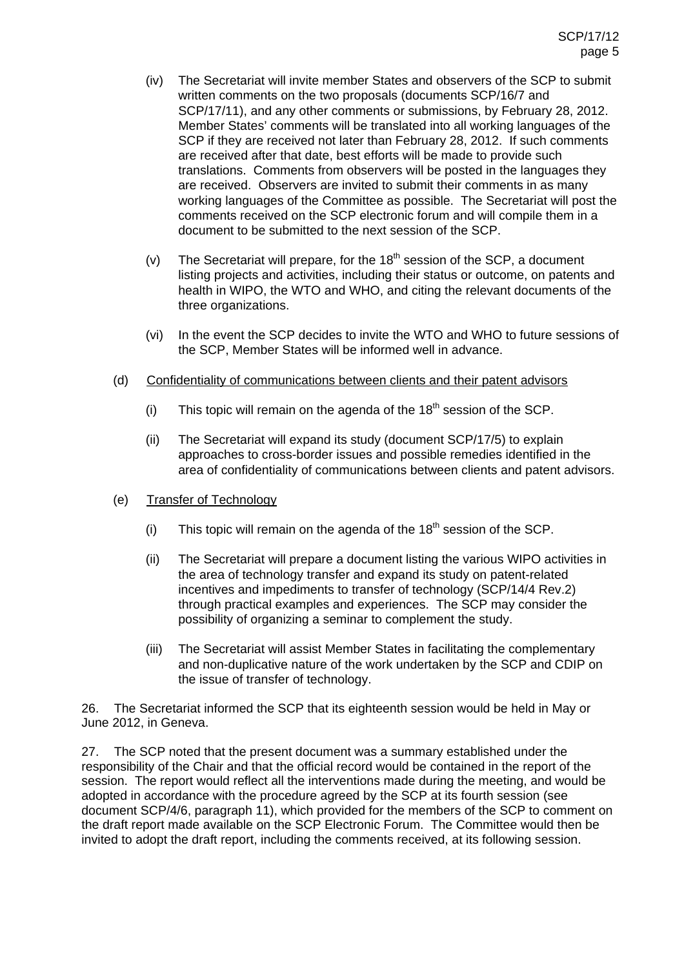- (iv) The Secretariat will invite member States and observers of the SCP to submit written comments on the two proposals (documents SCP/16/7 and SCP/17/11), and any other comments or submissions, by February 28, 2012. Member States' comments will be translated into all working languages of the SCP if they are received not later than February 28, 2012. If such comments are received after that date, best efforts will be made to provide such translations. Comments from observers will be posted in the languages they are received. Observers are invited to submit their comments in as many working languages of the Committee as possible. The Secretariat will post the comments received on the SCP electronic forum and will compile them in a document to be submitted to the next session of the SCP.
- (v) The Secretariat will prepare, for the  $18<sup>th</sup>$  session of the SCP, a document listing projects and activities, including their status or outcome, on patents and health in WIPO, the WTO and WHO, and citing the relevant documents of the three organizations.
- (vi) In the event the SCP decides to invite the WTO and WHO to future sessions of the SCP, Member States will be informed well in advance.
- (d) Confidentiality of communications between clients and their patent advisors
	- (i) This topic will remain on the agenda of the  $18<sup>th</sup>$  session of the SCP.
	- (ii) The Secretariat will expand its study (document SCP/17/5) to explain approaches to cross-border issues and possible remedies identified in the area of confidentiality of communications between clients and patent advisors.
- (e) Transfer of Technology
	- (i) This topic will remain on the agenda of the  $18<sup>th</sup>$  session of the SCP.
	- (ii) The Secretariat will prepare a document listing the various WIPO activities in the area of technology transfer and expand its study on patent-related incentives and impediments to transfer of technology (SCP/14/4 Rev.2) through practical examples and experiences. The SCP may consider the possibility of organizing a seminar to complement the study.
	- (iii) The Secretariat will assist Member States in facilitating the complementary and non-duplicative nature of the work undertaken by the SCP and CDIP on the issue of transfer of technology.

26. The Secretariat informed the SCP that its eighteenth session would be held in May or June 2012, in Geneva.

27. The SCP noted that the present document was a summary established under the responsibility of the Chair and that the official record would be contained in the report of the session. The report would reflect all the interventions made during the meeting, and would be adopted in accordance with the procedure agreed by the SCP at its fourth session (see document SCP/4/6, paragraph 11), which provided for the members of the SCP to comment on the draft report made available on the SCP Electronic Forum. The Committee would then be invited to adopt the draft report, including the comments received, at its following session.